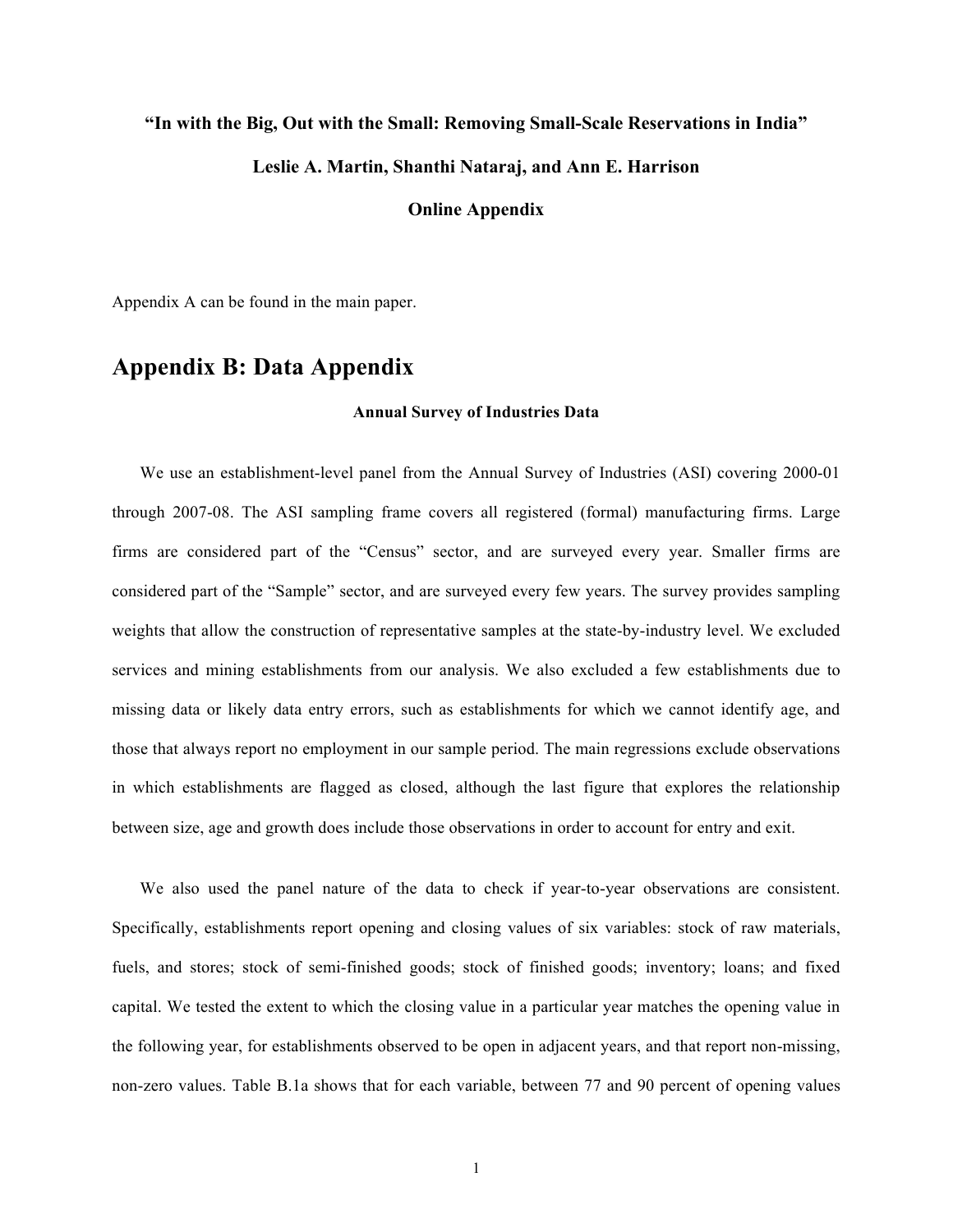#### **"In with the Big, Out with the Small: Removing Small-Scale Reservations in India"**

### **Leslie A. Martin, Shanthi Nataraj, and Ann E. Harrison**

### **Online Appendix**

Appendix A can be found in the main paper.

# **Appendix B: Data Appendix**

#### **Annual Survey of Industries Data**

We use an establishment-level panel from the Annual Survey of Industries (ASI) covering 2000-01 through 2007-08. The ASI sampling frame covers all registered (formal) manufacturing firms. Large firms are considered part of the "Census" sector, and are surveyed every year. Smaller firms are considered part of the "Sample" sector, and are surveyed every few years. The survey provides sampling weights that allow the construction of representative samples at the state-by-industry level. We excluded services and mining establishments from our analysis. We also excluded a few establishments due to missing data or likely data entry errors, such as establishments for which we cannot identify age, and those that always report no employment in our sample period. The main regressions exclude observations in which establishments are flagged as closed, although the last figure that explores the relationship between size, age and growth does include those observations in order to account for entry and exit.

We also used the panel nature of the data to check if year-to-year observations are consistent. Specifically, establishments report opening and closing values of six variables: stock of raw materials, fuels, and stores; stock of semi-finished goods; stock of finished goods; inventory; loans; and fixed capital. We tested the extent to which the closing value in a particular year matches the opening value in the following year, for establishments observed to be open in adjacent years, and that report non-missing, non-zero values. Table B.1a shows that for each variable, between 77 and 90 percent of opening values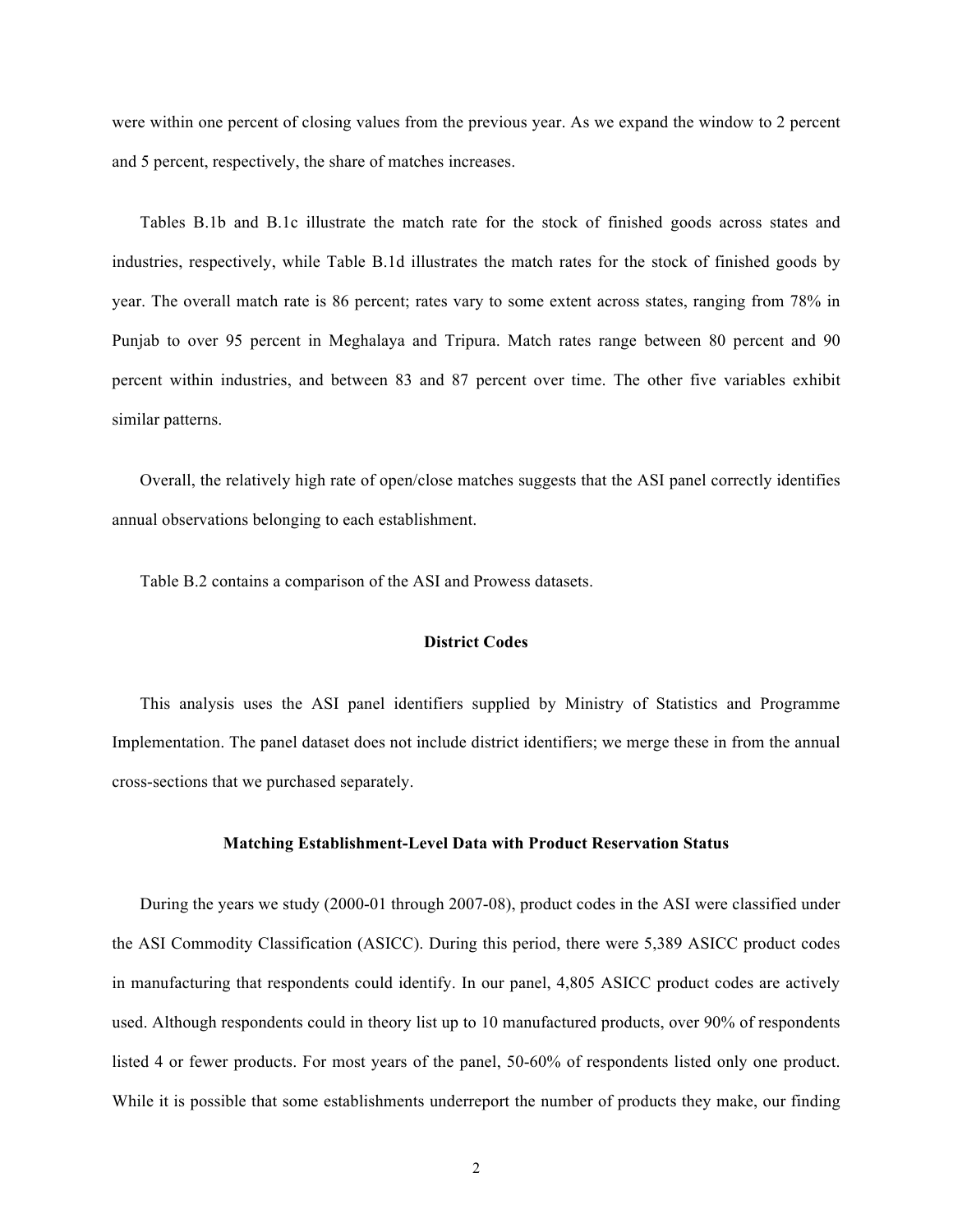were within one percent of closing values from the previous year. As we expand the window to 2 percent and 5 percent, respectively, the share of matches increases.

Tables B.1b and B.1c illustrate the match rate for the stock of finished goods across states and industries, respectively, while Table B.1d illustrates the match rates for the stock of finished goods by year. The overall match rate is 86 percent; rates vary to some extent across states, ranging from 78% in Punjab to over 95 percent in Meghalaya and Tripura. Match rates range between 80 percent and 90 percent within industries, and between 83 and 87 percent over time. The other five variables exhibit similar patterns.

Overall, the relatively high rate of open/close matches suggests that the ASI panel correctly identifies annual observations belonging to each establishment.

Table B.2 contains a comparison of the ASI and Prowess datasets.

#### **District Codes**

This analysis uses the ASI panel identifiers supplied by Ministry of Statistics and Programme Implementation. The panel dataset does not include district identifiers; we merge these in from the annual cross-sections that we purchased separately.

#### **Matching Establishment-Level Data with Product Reservation Status**

During the years we study (2000-01 through 2007-08), product codes in the ASI were classified under the ASI Commodity Classification (ASICC). During this period, there were 5,389 ASICC product codes in manufacturing that respondents could identify. In our panel, 4,805 ASICC product codes are actively used. Although respondents could in theory list up to 10 manufactured products, over 90% of respondents listed 4 or fewer products. For most years of the panel, 50-60% of respondents listed only one product. While it is possible that some establishments underreport the number of products they make, our finding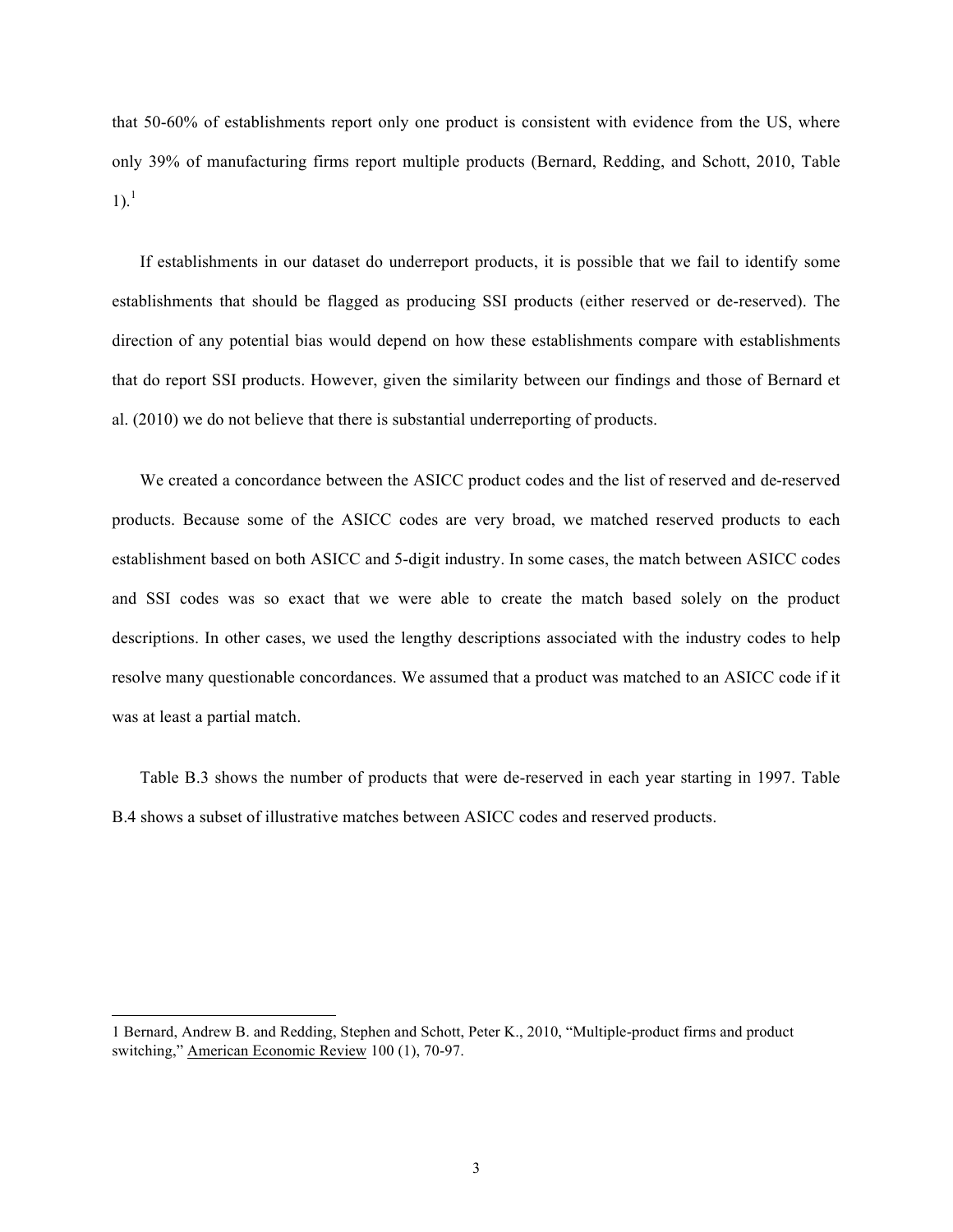that 50-60% of establishments report only one product is consistent with evidence from the US, where only 39% of manufacturing firms report multiple products (Bernard, Redding, and Schott, 2010, Table  $1)$ .<sup>1</sup>

If establishments in our dataset do underreport products, it is possible that we fail to identify some establishments that should be flagged as producing SSI products (either reserved or de-reserved). The direction of any potential bias would depend on how these establishments compare with establishments that do report SSI products. However, given the similarity between our findings and those of Bernard et al. (2010) we do not believe that there is substantial underreporting of products.

We created a concordance between the ASICC product codes and the list of reserved and de-reserved products. Because some of the ASICC codes are very broad, we matched reserved products to each establishment based on both ASICC and 5-digit industry. In some cases, the match between ASICC codes and SSI codes was so exact that we were able to create the match based solely on the product descriptions. In other cases, we used the lengthy descriptions associated with the industry codes to help resolve many questionable concordances. We assumed that a product was matched to an ASICC code if it was at least a partial match.

Table B.3 shows the number of products that were de-reserved in each year starting in 1997. Table B.4 shows a subset of illustrative matches between ASICC codes and reserved products.

 $\overline{a}$ 

<sup>1</sup> Bernard, Andrew B. and Redding, Stephen and Schott, Peter K., 2010, "Multiple-product firms and product switching," American Economic Review 100 (1), 70-97.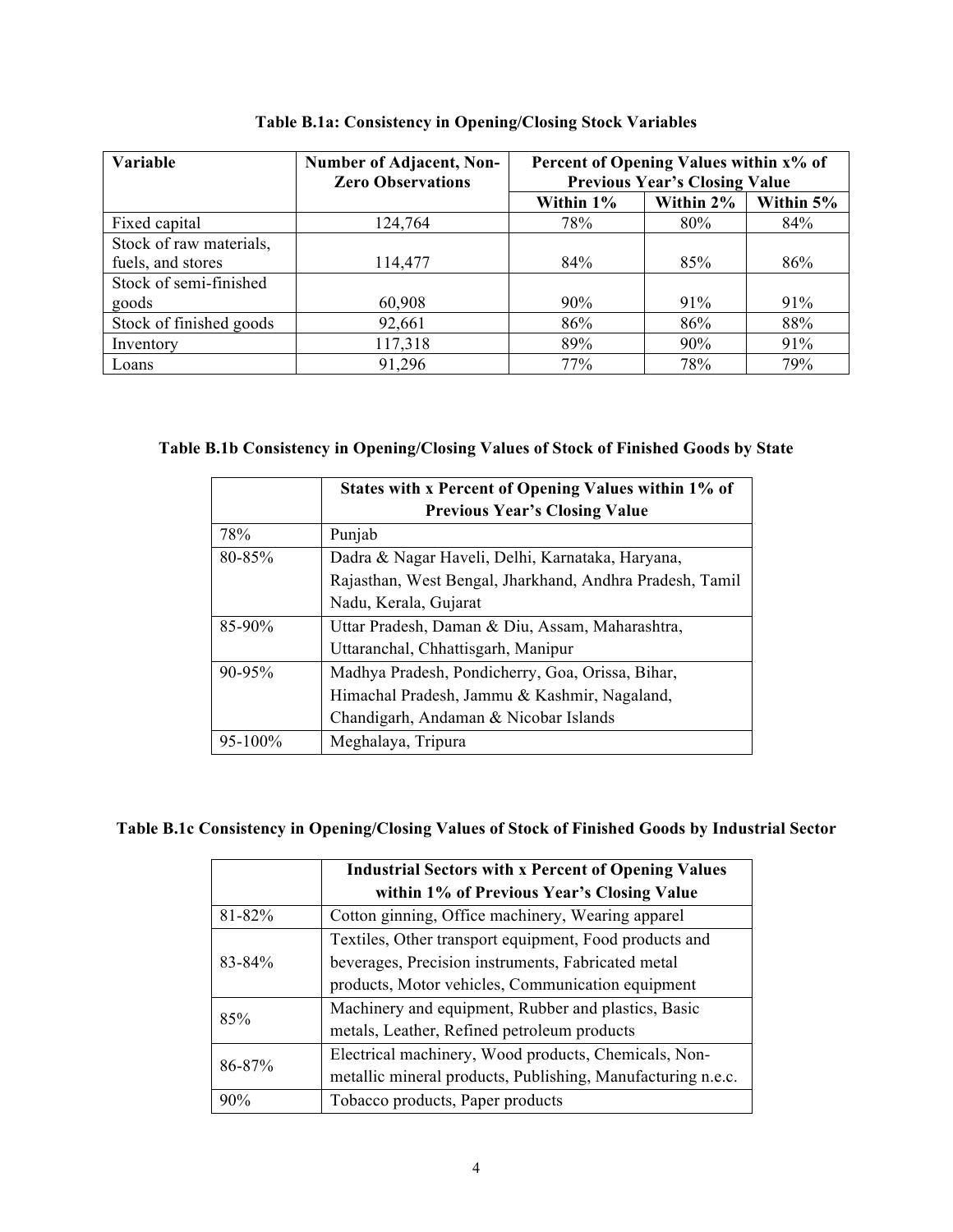| <b>Variable</b>         | <b>Number of Adjacent, Non-</b><br><b>Zero Observations</b> | Percent of Opening Values within x% of<br><b>Previous Year's Closing Value</b> |        |           |
|-------------------------|-------------------------------------------------------------|--------------------------------------------------------------------------------|--------|-----------|
|                         |                                                             | Within 2%<br>Within 1%                                                         |        | Within 5% |
| Fixed capital           | 124,764                                                     | 78%                                                                            | 80%    | 84%       |
| Stock of raw materials, |                                                             |                                                                                |        |           |
| fuels, and stores       | 114,477                                                     | 84%                                                                            | 85%    | 86%       |
| Stock of semi-finished  |                                                             |                                                                                |        |           |
| goods                   | 60,908                                                      | $90\%$                                                                         | $91\%$ | 91%       |
| Stock of finished goods | 92,661                                                      | 86%                                                                            | 86%    | 88%       |
| Inventory               | 117,318                                                     | 89%                                                                            | 90%    | 91%       |
| Loans                   | 91,296                                                      | 77%                                                                            | 78%    | 79%       |

## **Table B.1a: Consistency in Opening/Closing Stock Variables**

## **Table B.1b Consistency in Opening/Closing Values of Stock of Finished Goods by State**

|              | States with x Percent of Opening Values within 1% of<br><b>Previous Year's Closing Value</b> |  |  |  |  |  |  |
|--------------|----------------------------------------------------------------------------------------------|--|--|--|--|--|--|
| 78%          | Punjab                                                                                       |  |  |  |  |  |  |
| 80-85%       | Dadra & Nagar Haveli, Delhi, Karnataka, Haryana,                                             |  |  |  |  |  |  |
|              | Rajasthan, West Bengal, Jharkhand, Andhra Pradesh, Tamil                                     |  |  |  |  |  |  |
|              | Nadu, Kerala, Gujarat                                                                        |  |  |  |  |  |  |
| $85 - 90\%$  | Uttar Pradesh, Daman & Diu, Assam, Maharashtra,                                              |  |  |  |  |  |  |
|              | Uttaranchal, Chhattisgarh, Manipur                                                           |  |  |  |  |  |  |
| 90-95%       | Madhya Pradesh, Pondicherry, Goa, Orissa, Bihar,                                             |  |  |  |  |  |  |
|              | Himachal Pradesh, Jammu & Kashmir, Nagaland,                                                 |  |  |  |  |  |  |
|              | Chandigarh, Andaman & Nicobar Islands                                                        |  |  |  |  |  |  |
| $95 - 100\%$ | Meghalaya, Tripura                                                                           |  |  |  |  |  |  |

## **Table B.1c Consistency in Opening/Closing Values of Stock of Finished Goods by Industrial Sector**

|        | <b>Industrial Sectors with x Percent of Opening Values</b>  |  |  |  |  |  |  |
|--------|-------------------------------------------------------------|--|--|--|--|--|--|
|        | within 1% of Previous Year's Closing Value                  |  |  |  |  |  |  |
| 81-82% | Cotton ginning, Office machinery, Wearing apparel           |  |  |  |  |  |  |
|        | Textiles, Other transport equipment, Food products and      |  |  |  |  |  |  |
| 83-84% | beverages, Precision instruments, Fabricated metal          |  |  |  |  |  |  |
|        | products, Motor vehicles, Communication equipment           |  |  |  |  |  |  |
| 85%    | Machinery and equipment, Rubber and plastics, Basic         |  |  |  |  |  |  |
|        | metals, Leather, Refined petroleum products                 |  |  |  |  |  |  |
| 86-87% | Electrical machinery, Wood products, Chemicals, Non-        |  |  |  |  |  |  |
|        | metallic mineral products, Publishing, Manufacturing n.e.c. |  |  |  |  |  |  |
| 90%    | Tobacco products, Paper products                            |  |  |  |  |  |  |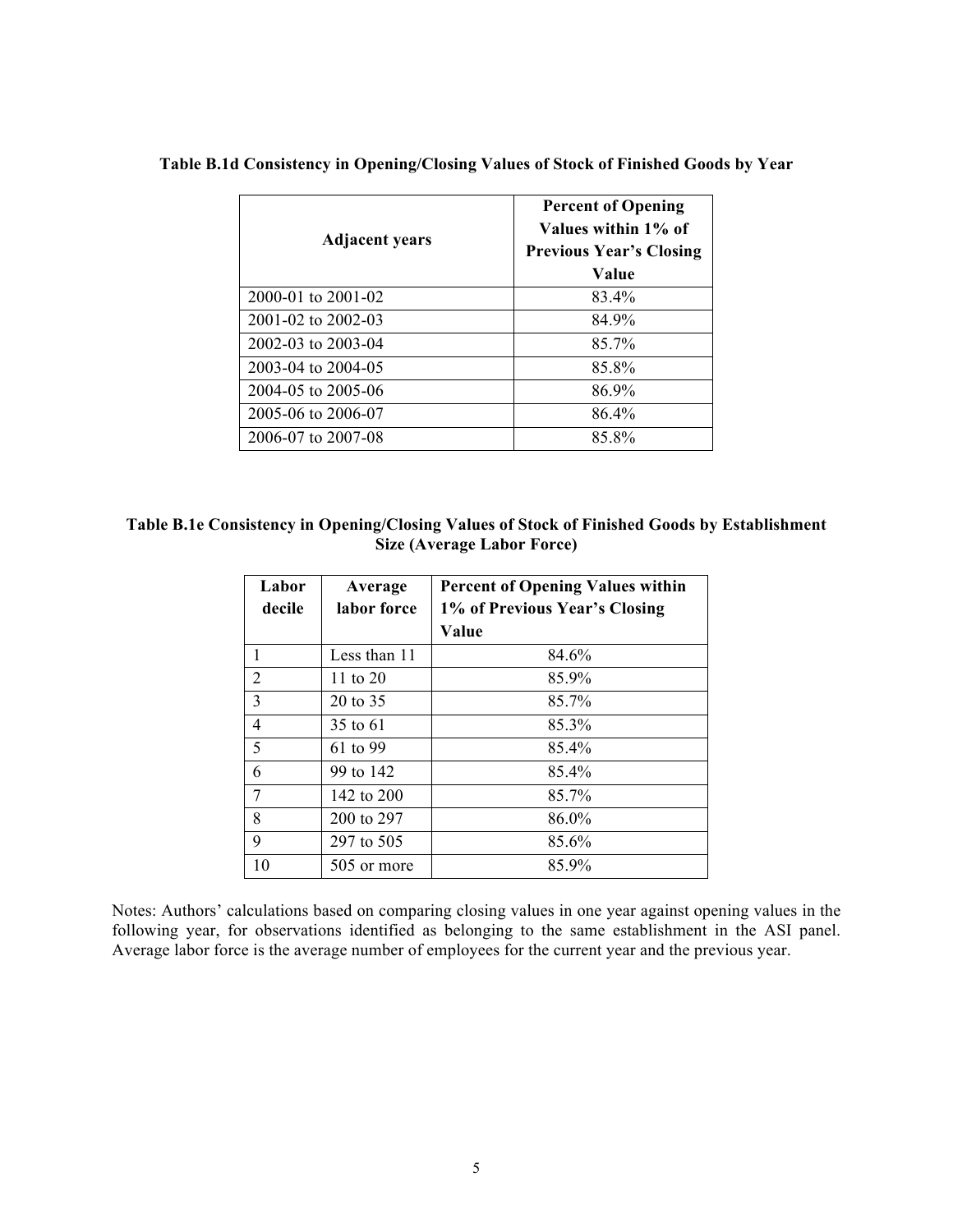| <b>Adjacent years</b> | <b>Percent of Opening</b><br>Values within 1% of<br><b>Previous Year's Closing</b><br>Value |  |  |  |
|-----------------------|---------------------------------------------------------------------------------------------|--|--|--|
| 2000-01 to 2001-02    | 83.4%                                                                                       |  |  |  |
| 2001-02 to 2002-03    | 84.9%                                                                                       |  |  |  |
| 2002-03 to 2003-04    | 85.7%                                                                                       |  |  |  |
| 2003-04 to 2004-05    | 85.8%                                                                                       |  |  |  |
| 2004-05 to 2005-06    | 86.9%                                                                                       |  |  |  |
| 2005-06 to 2006-07    | 86.4%                                                                                       |  |  |  |
| 2006-07 to 2007-08    | 85.8%                                                                                       |  |  |  |

### **Table B.1d Consistency in Opening/Closing Values of Stock of Finished Goods by Year**

| Table B.1e Consistency in Opening/Closing Values of Stock of Finished Goods by Establishment |
|----------------------------------------------------------------------------------------------|
| Size (Average Labor Force)                                                                   |

| Labor  | Average             | <b>Percent of Opening Values within</b> |  |  |  |
|--------|---------------------|-----------------------------------------|--|--|--|
| decile | labor force         | 1% of Previous Year's Closing           |  |  |  |
|        |                     | Value                                   |  |  |  |
| 1      | Less than 11        | 84.6%                                   |  |  |  |
| 2      | 11 to $20$          | 85.9%                                   |  |  |  |
| 3      | $20 \text{ to } 35$ | 85.7%                                   |  |  |  |
| 4      | 35 to 61            | 85.3%                                   |  |  |  |
| 5      | 61 to 99            | 85.4%                                   |  |  |  |
| 6      | 99 to 142           | 85.4%                                   |  |  |  |
| 7      | 142 to 200          | 85.7%                                   |  |  |  |
| 8      | 200 to 297          | 86.0%                                   |  |  |  |
| 9      | 297 to 505          | 85.6%                                   |  |  |  |
| 10     | 505 or more         | 85.9%                                   |  |  |  |

Notes: Authors' calculations based on comparing closing values in one year against opening values in the following year, for observations identified as belonging to the same establishment in the ASI panel. Average labor force is the average number of employees for the current year and the previous year.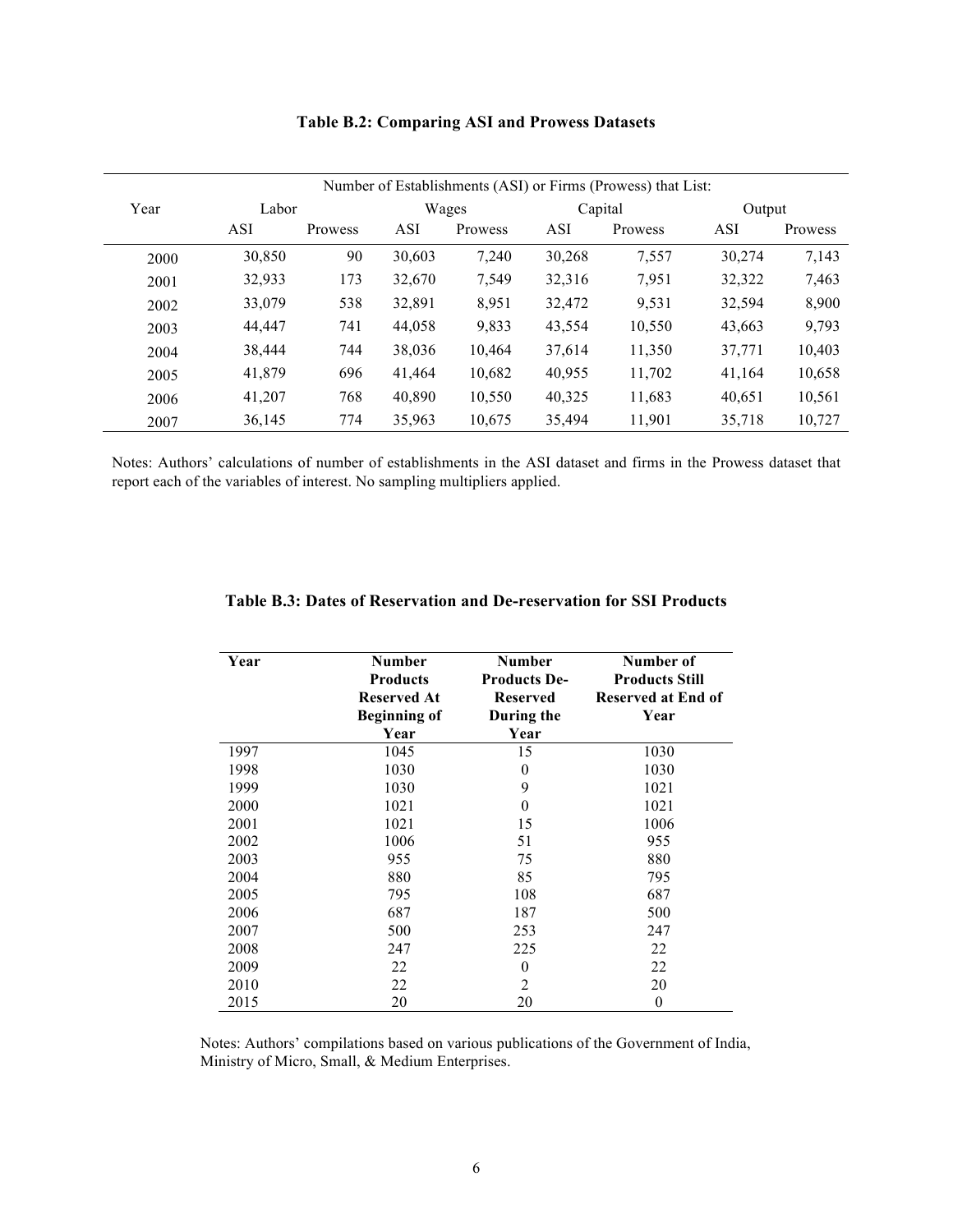| Number of Establishments (ASI) or Firms (Prowess) that List: |            |                |            |         |            |         |            |         |
|--------------------------------------------------------------|------------|----------------|------------|---------|------------|---------|------------|---------|
| Year                                                         | Labor      |                | Wages      |         | Capital    |         | Output     |         |
|                                                              | <b>ASI</b> | <b>Prowess</b> | <b>ASI</b> | Prowess | <b>ASI</b> | Prowess | <b>ASI</b> | Prowess |
| 2000                                                         | 30,850     | 90             | 30,603     | 7.240   | 30,268     | 7,557   | 30,274     | 7,143   |
| 2001                                                         | 32,933     | 173            | 32,670     | 7,549   | 32,316     | 7,951   | 32,322     | 7,463   |
| 2002                                                         | 33,079     | 538            | 32,891     | 8,951   | 32,472     | 9,531   | 32,594     | 8,900   |
| 2003                                                         | 44,447     | 741            | 44,058     | 9,833   | 43,554     | 10,550  | 43,663     | 9,793   |
| 2004                                                         | 38,444     | 744            | 38,036     | 10,464  | 37,614     | 11,350  | 37,771     | 10,403  |
| 2005                                                         | 41,879     | 696            | 41,464     | 10,682  | 40,955     | 11,702  | 41,164     | 10,658  |
| 2006                                                         | 41,207     | 768            | 40,890     | 10,550  | 40,325     | 11,683  | 40,651     | 10,561  |
| 2007                                                         | 36,145     | 774            | 35,963     | 10,675  | 35,494     | 11,901  | 35,718     | 10,727  |

### **Table B.2: Comparing ASI and Prowess Datasets**

Notes: Authors' calculations of number of establishments in the ASI dataset and firms in the Prowess dataset that report each of the variables of interest. No sampling multipliers applied.

| Year | <b>Number</b><br><b>Products</b><br><b>Reserved At</b><br><b>Beginning of</b> | <b>Number</b><br><b>Products De-</b><br><b>Reserved</b><br>During the | Number of<br><b>Products Still</b><br><b>Reserved at End of</b><br>Year |
|------|-------------------------------------------------------------------------------|-----------------------------------------------------------------------|-------------------------------------------------------------------------|
|      | Year                                                                          | Year                                                                  |                                                                         |
| 1997 | 1045                                                                          | 15                                                                    | 1030                                                                    |
| 1998 | 1030                                                                          | $\theta$                                                              | 1030                                                                    |
| 1999 | 1030                                                                          | 9                                                                     | 1021                                                                    |
| 2000 | 1021                                                                          | $\Omega$                                                              | 1021                                                                    |
| 2001 | 1021                                                                          | 15                                                                    | 1006                                                                    |
| 2002 | 1006                                                                          | 51                                                                    | 955                                                                     |
| 2003 | 955                                                                           | 75                                                                    | 880                                                                     |
| 2004 | 880                                                                           | 85                                                                    | 795                                                                     |
| 2005 | 795                                                                           | 108                                                                   | 687                                                                     |
| 2006 | 687                                                                           | 187                                                                   | 500                                                                     |
| 2007 | 500                                                                           | 253                                                                   | 247                                                                     |
| 2008 | 247                                                                           | 225                                                                   | 22                                                                      |
| 2009 | 22                                                                            | $\Omega$                                                              | 22                                                                      |
| 2010 | 22                                                                            | $\overline{2}$                                                        | 20                                                                      |
| 2015 | 20                                                                            | 20                                                                    | $\theta$                                                                |

### **Table B.3: Dates of Reservation and De-reservation for SSI Products**

Notes: Authors' compilations based on various publications of the Government of India, Ministry of Micro, Small, & Medium Enterprises.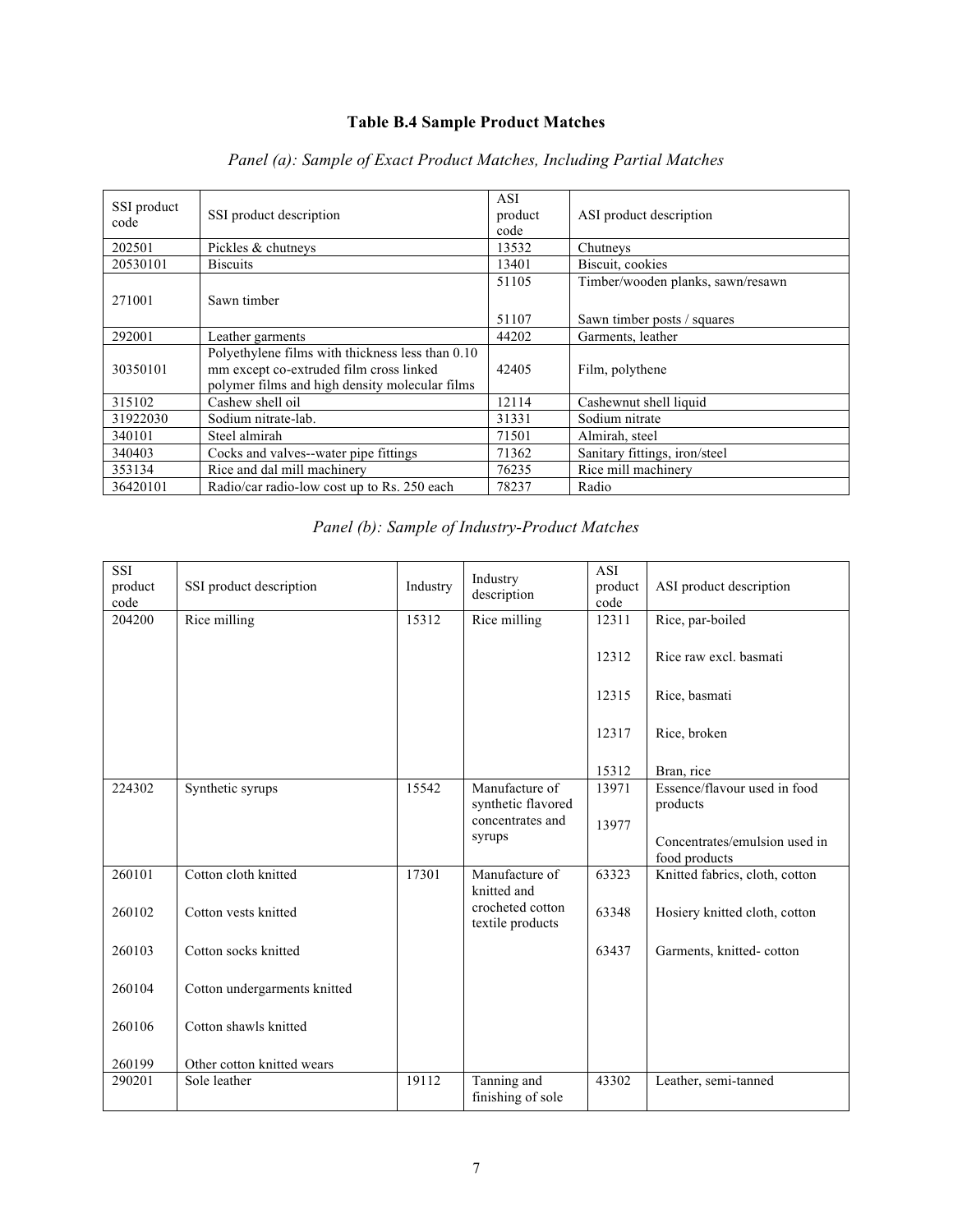# **Table B.4 Sample Product Matches**

| SSI product<br>code | SSI product description                                                                                                                       | ASI<br>product<br>code | ASI product description           |
|---------------------|-----------------------------------------------------------------------------------------------------------------------------------------------|------------------------|-----------------------------------|
| 202501              | Pickles & chutneys                                                                                                                            | 13532                  | Chutneys                          |
| 20530101            | <b>Biscuits</b>                                                                                                                               | 13401                  | Biscuit, cookies                  |
|                     |                                                                                                                                               | 51105                  | Timber/wooden planks, sawn/resawn |
| 271001              | Sawn timber                                                                                                                                   |                        |                                   |
|                     |                                                                                                                                               | 51107                  | Sawn timber posts / squares       |
| 292001              | Leather garments                                                                                                                              | 44202                  | Garments, leather                 |
| 30350101            | Polyethylene films with thickness less than 0.10<br>mm except co-extruded film cross linked<br>polymer films and high density molecular films | 42405                  | Film, polythene                   |
| 315102              | Cashew shell oil                                                                                                                              | 12114                  | Cashewnut shell liquid            |
| 31922030            | Sodium nitrate-lab.                                                                                                                           | 31331                  | Sodium nitrate                    |
| 340101              | Steel almirah                                                                                                                                 | 71501                  | Almirah, steel                    |
| 340403              | Cocks and valves--water pipe fittings                                                                                                         | 71362                  | Sanitary fittings, iron/steel     |
| 353134              | Rice and dal mill machinery                                                                                                                   | 76235                  | Rice mill machinery               |
| 36420101            | Radio/car radio-low cost up to Rs. 250 each                                                                                                   | 78237                  | Radio                             |

# *Panel (a): Sample of Exact Product Matches, Including Partial Matches*

|  |  | Panel (b): Sample of Industry-Product Matches |
|--|--|-----------------------------------------------|
|  |  |                                               |

| <b>SSI</b><br>product<br>code | SSI product description      | Industry | Industry<br>description              | <b>ASI</b><br>product<br>code | ASI product description                        |
|-------------------------------|------------------------------|----------|--------------------------------------|-------------------------------|------------------------------------------------|
| 204200                        | Rice milling                 | 15312    | Rice milling                         | 12311                         | Rice, par-boiled                               |
|                               |                              |          |                                      | 12312                         | Rice raw excl. basmati                         |
|                               |                              |          |                                      | 12315                         | Rice, basmati                                  |
|                               |                              |          |                                      | 12317                         | Rice, broken                                   |
|                               |                              |          |                                      | 15312                         | Bran, rice                                     |
| 224302                        | Synthetic syrups             | 15542    | Manufacture of                       | 13971                         | Essence/flavour used in food                   |
|                               |                              |          | synthetic flavored                   |                               | products                                       |
|                               |                              |          | concentrates and<br>syrups           | 13977                         |                                                |
|                               |                              |          |                                      |                               | Concentrates/emulsion used in<br>food products |
| 260101                        | Cotton cloth knitted         | 17301    | Manufacture of<br>knitted and        | 63323                         | Knitted fabrics, cloth, cotton                 |
| 260102                        | Cotton yests knitted         |          | crocheted cotton<br>textile products | 63348                         | Hosiery knitted cloth, cotton                  |
| 260103                        | Cotton socks knitted         |          |                                      | 63437                         | Garments, knitted-cotton                       |
| 260104                        | Cotton undergarments knitted |          |                                      |                               |                                                |
| 260106                        | Cotton shawls knitted        |          |                                      |                               |                                                |
| 260199                        | Other cotton knitted wears   |          |                                      |                               |                                                |
| 290201                        | Sole leather                 | 19112    | Tanning and<br>finishing of sole     | 43302                         | Leather, semi-tanned                           |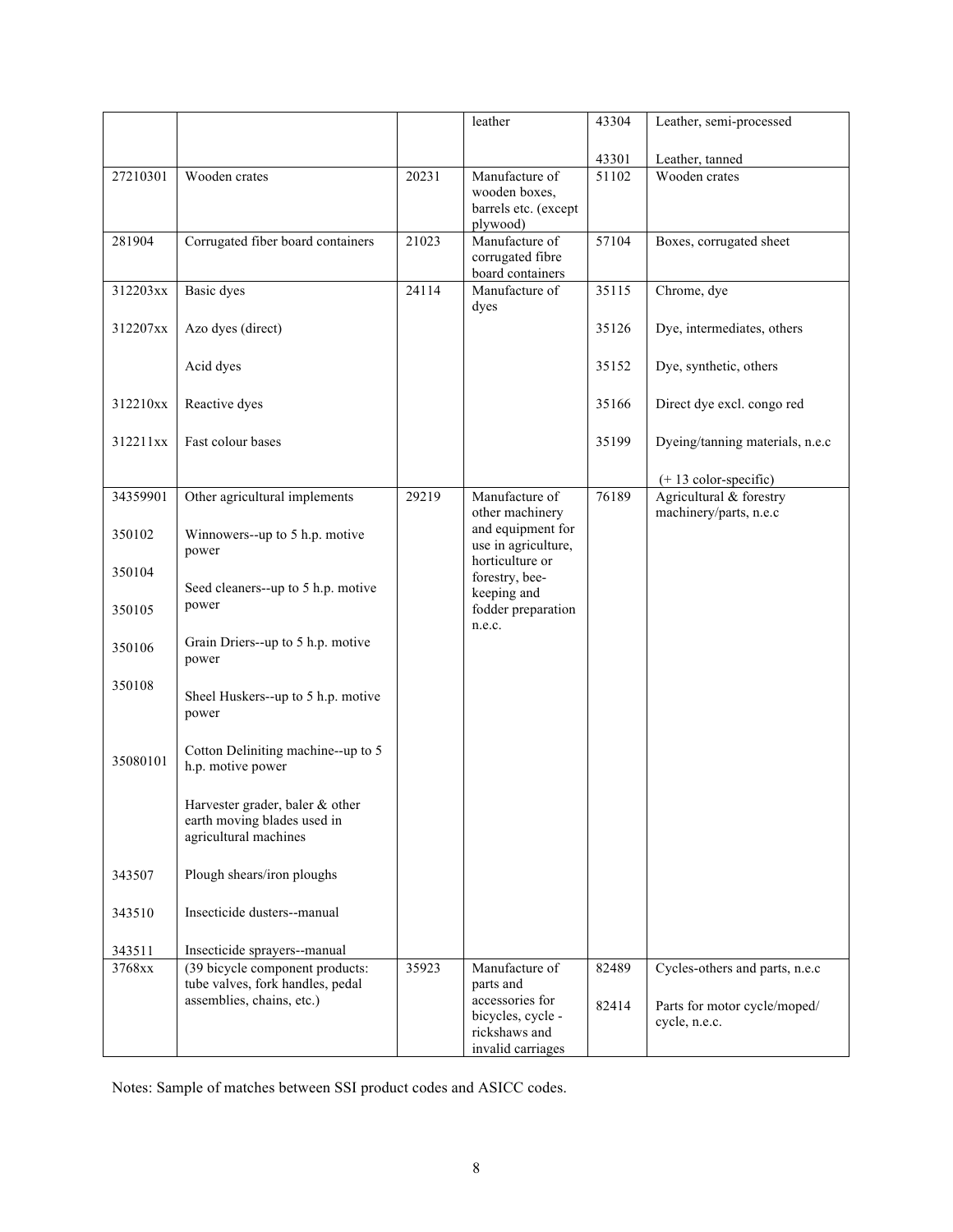|          |                                                                     |       | leather                               | 43304 | Leather, semi-processed                            |
|----------|---------------------------------------------------------------------|-------|---------------------------------------|-------|----------------------------------------------------|
|          |                                                                     |       |                                       |       |                                                    |
|          |                                                                     |       |                                       | 43301 | Leather, tanned                                    |
| 27210301 | Wooden crates                                                       | 20231 | Manufacture of                        | 51102 | Wooden crates                                      |
|          |                                                                     |       | wooden boxes,<br>barrels etc. (except |       |                                                    |
|          |                                                                     |       | plywood)                              |       |                                                    |
| 281904   | Corrugated fiber board containers                                   | 21023 | Manufacture of                        | 57104 | Boxes, corrugated sheet                            |
|          |                                                                     |       | corrugated fibre                      |       |                                                    |
| 312203xx | Basic dyes                                                          | 24114 | board containers<br>Manufacture of    | 35115 | Chrome, dye                                        |
|          |                                                                     |       | dyes                                  |       |                                                    |
| 312207xx | Azo dyes (direct)                                                   |       |                                       | 35126 | Dye, intermediates, others                         |
|          |                                                                     |       |                                       |       |                                                    |
|          | Acid dyes                                                           |       |                                       | 35152 | Dye, synthetic, others                             |
|          |                                                                     |       |                                       |       |                                                    |
| 312210xx | Reactive dyes                                                       |       |                                       | 35166 | Direct dye excl. congo red                         |
|          |                                                                     |       |                                       |       |                                                    |
| 312211xx | Fast colour bases                                                   |       |                                       | 35199 | Dyeing/tanning materials, n.e.c                    |
|          |                                                                     |       |                                       |       |                                                    |
|          |                                                                     |       | Manufacture of                        | 76189 | $(+ 13$ color-specific)<br>Agricultural & forestry |
| 34359901 | Other agricultural implements                                       | 29219 | other machinery                       |       | machinery/parts, n.e.c                             |
| 350102   | Winnowers--up to 5 h.p. motive                                      |       | and equipment for                     |       |                                                    |
|          | power                                                               |       | use in agriculture,                   |       |                                                    |
| 350104   |                                                                     |       | horticulture or                       |       |                                                    |
|          | Seed cleaners--up to 5 h.p. motive                                  |       | forestry, bee-<br>keeping and         |       |                                                    |
| 350105   | power                                                               |       | fodder preparation                    |       |                                                    |
|          |                                                                     |       | n.e.c.                                |       |                                                    |
| 350106   | Grain Driers--up to 5 h.p. motive                                   |       |                                       |       |                                                    |
|          | power                                                               |       |                                       |       |                                                    |
| 350108   | Sheel Huskers--up to 5 h.p. motive                                  |       |                                       |       |                                                    |
|          | power                                                               |       |                                       |       |                                                    |
|          |                                                                     |       |                                       |       |                                                    |
| 35080101 | Cotton Deliniting machine--up to 5                                  |       |                                       |       |                                                    |
|          | h.p. motive power                                                   |       |                                       |       |                                                    |
|          |                                                                     |       |                                       |       |                                                    |
|          | Harvester grader, baler & other<br>earth moving blades used in      |       |                                       |       |                                                    |
|          | agricultural machines                                               |       |                                       |       |                                                    |
|          |                                                                     |       |                                       |       |                                                    |
| 343507   | Plough shears/iron ploughs                                          |       |                                       |       |                                                    |
|          |                                                                     |       |                                       |       |                                                    |
| 343510   | Insecticide dusters--manual                                         |       |                                       |       |                                                    |
|          |                                                                     |       |                                       |       |                                                    |
| 343511   | Insecticide sprayers--manual                                        |       |                                       |       |                                                    |
| 3768xx   | (39 bicycle component products:<br>tube valves, fork handles, pedal | 35923 | Manufacture of<br>parts and           | 82489 | Cycles-others and parts, n.e.c                     |
|          | assemblies, chains, etc.)                                           |       | accessories for                       | 82414 |                                                    |
|          |                                                                     |       | bicycles, cycle -                     |       | Parts for motor cycle/moped/<br>cycle, n.e.c.      |
|          |                                                                     |       | rickshaws and                         |       |                                                    |
|          |                                                                     |       | invalid carriages                     |       |                                                    |

Notes: Sample of matches between SSI product codes and ASICC codes.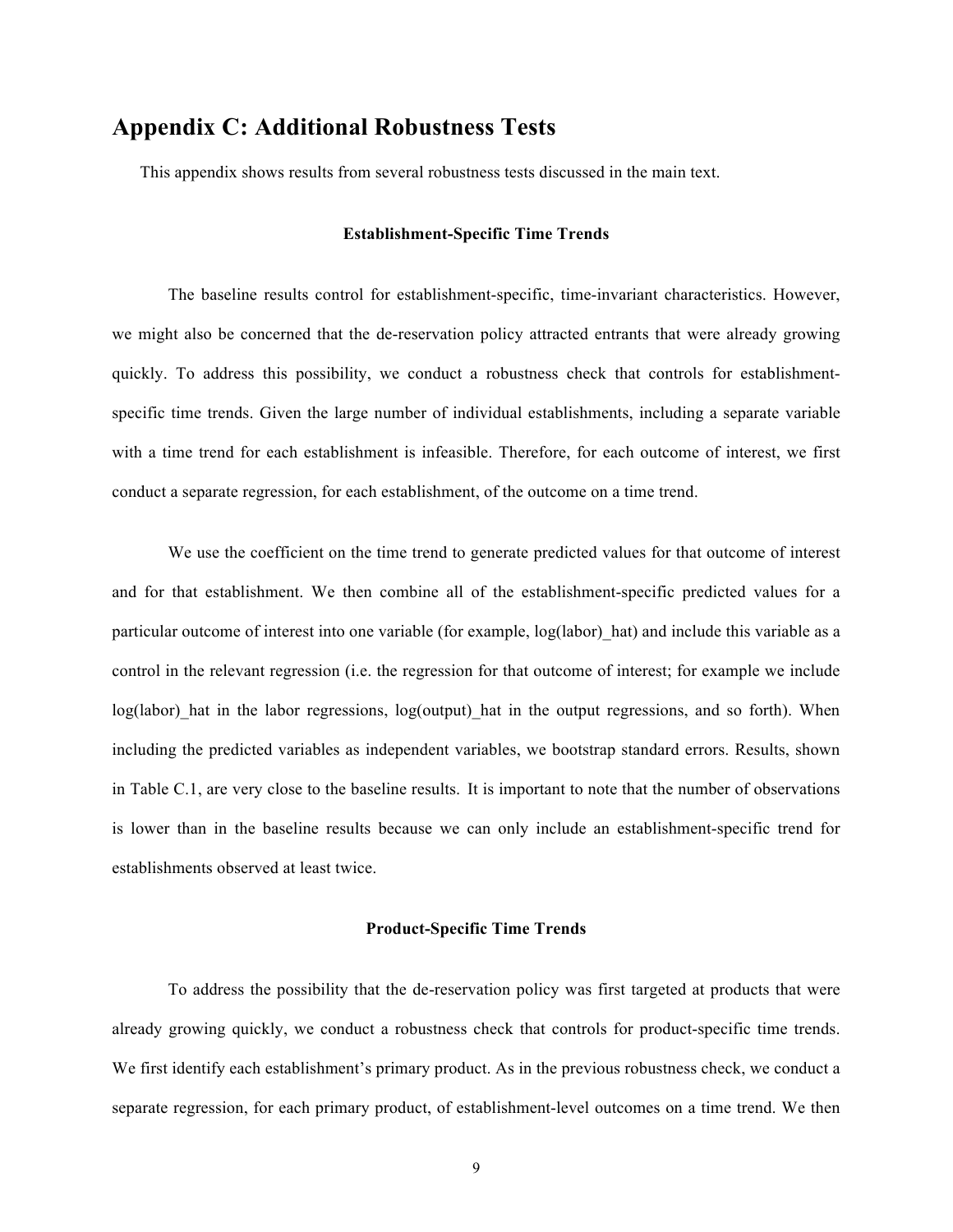# **Appendix C: Additional Robustness Tests**

This appendix shows results from several robustness tests discussed in the main text.

#### **Establishment-Specific Time Trends**

The baseline results control for establishment-specific, time-invariant characteristics. However, we might also be concerned that the de-reservation policy attracted entrants that were already growing quickly. To address this possibility, we conduct a robustness check that controls for establishmentspecific time trends. Given the large number of individual establishments, including a separate variable with a time trend for each establishment is infeasible. Therefore, for each outcome of interest, we first conduct a separate regression, for each establishment, of the outcome on a time trend.

We use the coefficient on the time trend to generate predicted values for that outcome of interest and for that establishment. We then combine all of the establishment-specific predicted values for a particular outcome of interest into one variable (for example, log(labor)\_hat) and include this variable as a control in the relevant regression (i.e. the regression for that outcome of interest; for example we include log(labor) hat in the labor regressions, log(output) hat in the output regressions, and so forth). When including the predicted variables as independent variables, we bootstrap standard errors. Results, shown in Table C.1, are very close to the baseline results. It is important to note that the number of observations is lower than in the baseline results because we can only include an establishment-specific trend for establishments observed at least twice.

#### **Product-Specific Time Trends**

To address the possibility that the de-reservation policy was first targeted at products that were already growing quickly, we conduct a robustness check that controls for product-specific time trends. We first identify each establishment's primary product. As in the previous robustness check, we conduct a separate regression, for each primary product, of establishment-level outcomes on a time trend. We then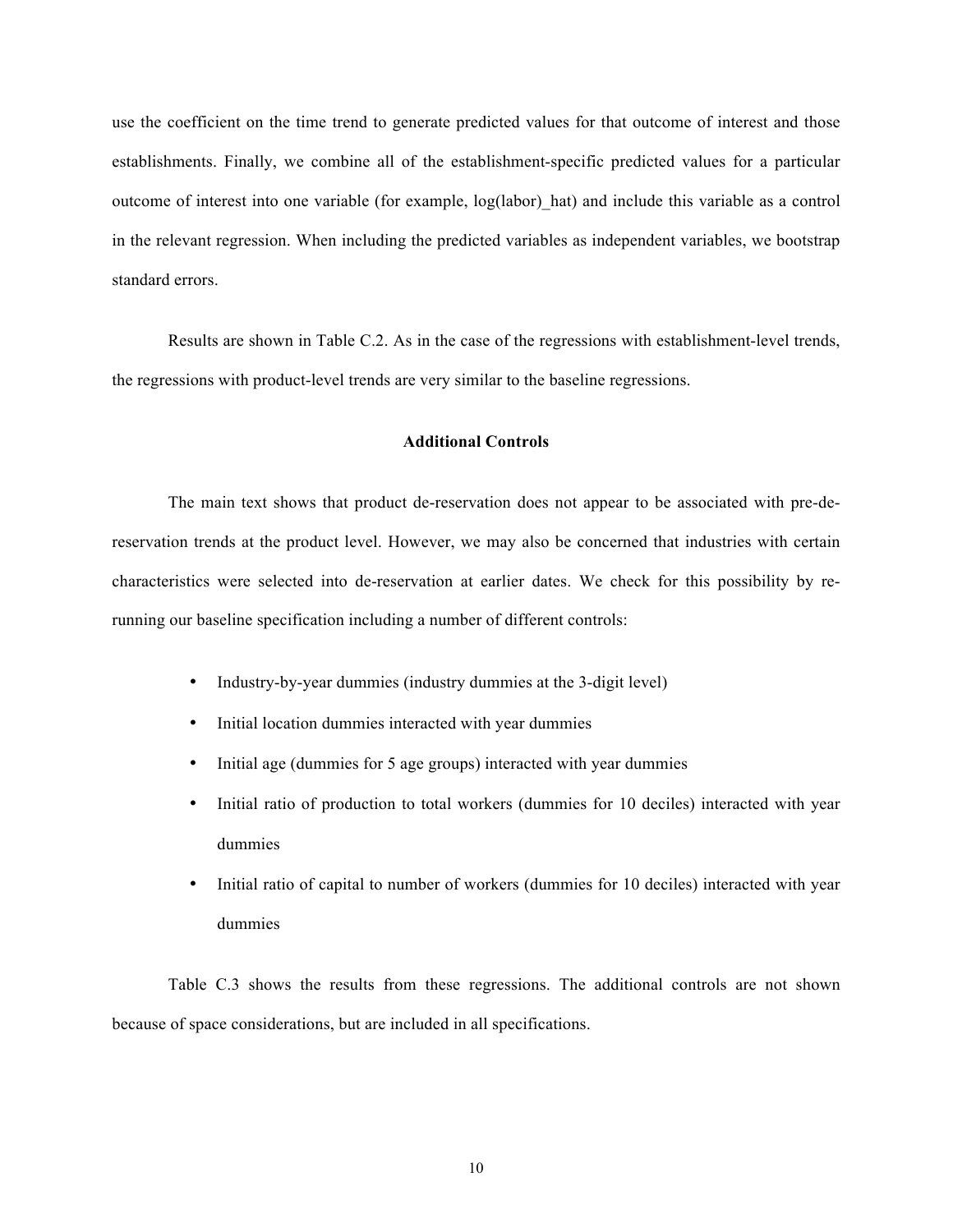use the coefficient on the time trend to generate predicted values for that outcome of interest and those establishments. Finally, we combine all of the establishment-specific predicted values for a particular outcome of interest into one variable (for example, log(labor)\_hat) and include this variable as a control in the relevant regression. When including the predicted variables as independent variables, we bootstrap standard errors.

Results are shown in Table C.2. As in the case of the regressions with establishment-level trends, the regressions with product-level trends are very similar to the baseline regressions.

### **Additional Controls**

The main text shows that product de-reservation does not appear to be associated with pre-dereservation trends at the product level. However, we may also be concerned that industries with certain characteristics were selected into de-reservation at earlier dates. We check for this possibility by rerunning our baseline specification including a number of different controls:

- Industry-by-year dummies (industry dummies at the 3-digit level)
- Initial location dummies interacted with year dummies
- Initial age (dummies for 5 age groups) interacted with year dummies
- Initial ratio of production to total workers (dummies for 10 deciles) interacted with year dummies
- Initial ratio of capital to number of workers (dummies for 10 deciles) interacted with year dummies

Table C.3 shows the results from these regressions. The additional controls are not shown because of space considerations, but are included in all specifications.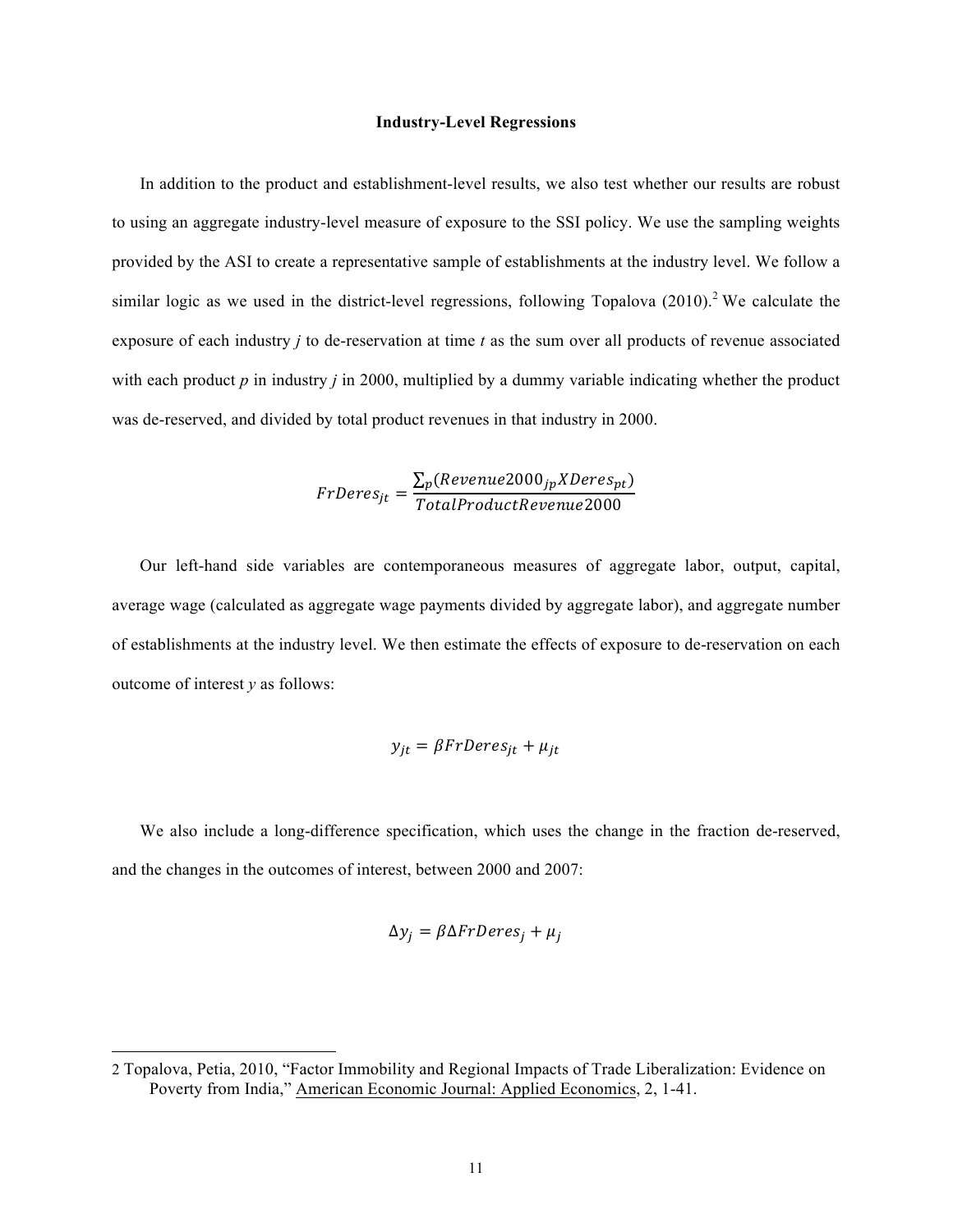#### **Industry-Level Regressions**

In addition to the product and establishment-level results, we also test whether our results are robust to using an aggregate industry-level measure of exposure to the SSI policy. We use the sampling weights provided by the ASI to create a representative sample of establishments at the industry level. We follow a similar logic as we used in the district-level regressions, following Topalova  $(2010)$ <sup>2</sup> We calculate the exposure of each industry *j* to de-reservation at time *t* as the sum over all products of revenue associated with each product *p* in industry *j* in 2000, multiplied by a dummy variable indicating whether the product was de-reserved, and divided by total product revenues in that industry in 2000.

$$
FrDeres_{jt} = \frac{\sum_{p}(Revenue 2000_{jp} XDeres_{pt})}{TotalProduct Revenue 2000}
$$

Our left-hand side variables are contemporaneous measures of aggregate labor, output, capital, average wage (calculated as aggregate wage payments divided by aggregate labor), and aggregate number of establishments at the industry level. We then estimate the effects of exposure to de-reservation on each outcome of interest *y* as follows:

$$
y_{jt} = \beta FrDeres_{jt} + \mu_{jt}
$$

We also include a long-difference specification, which uses the change in the fraction de-reserved, and the changes in the outcomes of interest, between 2000 and 2007:

$$
\Delta y_j = \beta \Delta FrDeres_j + \mu_j
$$

 $\overline{a}$ 

<sup>2</sup> Topalova, Petia, 2010, "Factor Immobility and Regional Impacts of Trade Liberalization: Evidence on Poverty from India," American Economic Journal: Applied Economics, 2, 1-41.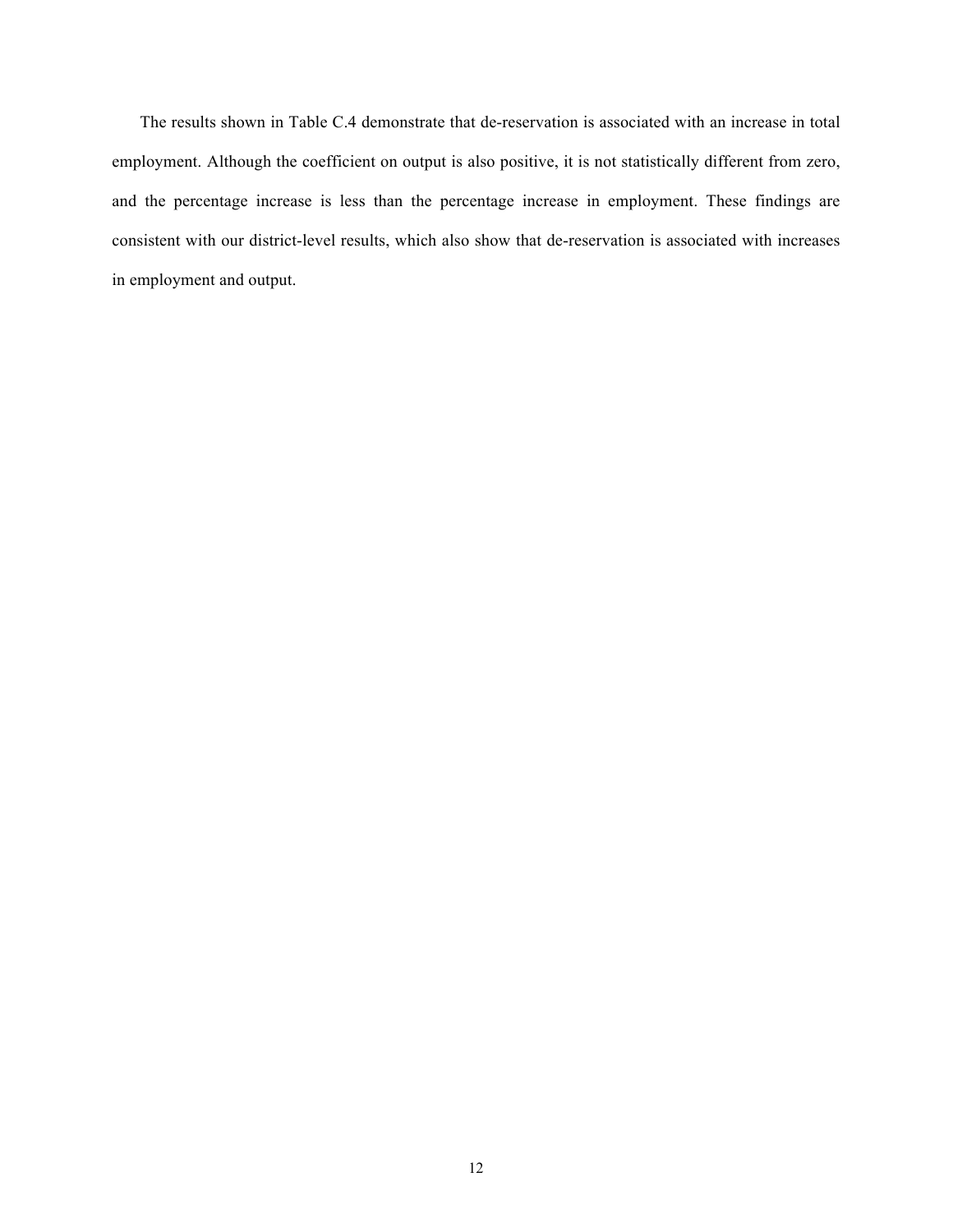The results shown in Table C.4 demonstrate that de-reservation is associated with an increase in total employment. Although the coefficient on output is also positive, it is not statistically different from zero, and the percentage increase is less than the percentage increase in employment. These findings are consistent with our district-level results, which also show that de-reservation is associated with increases in employment and output.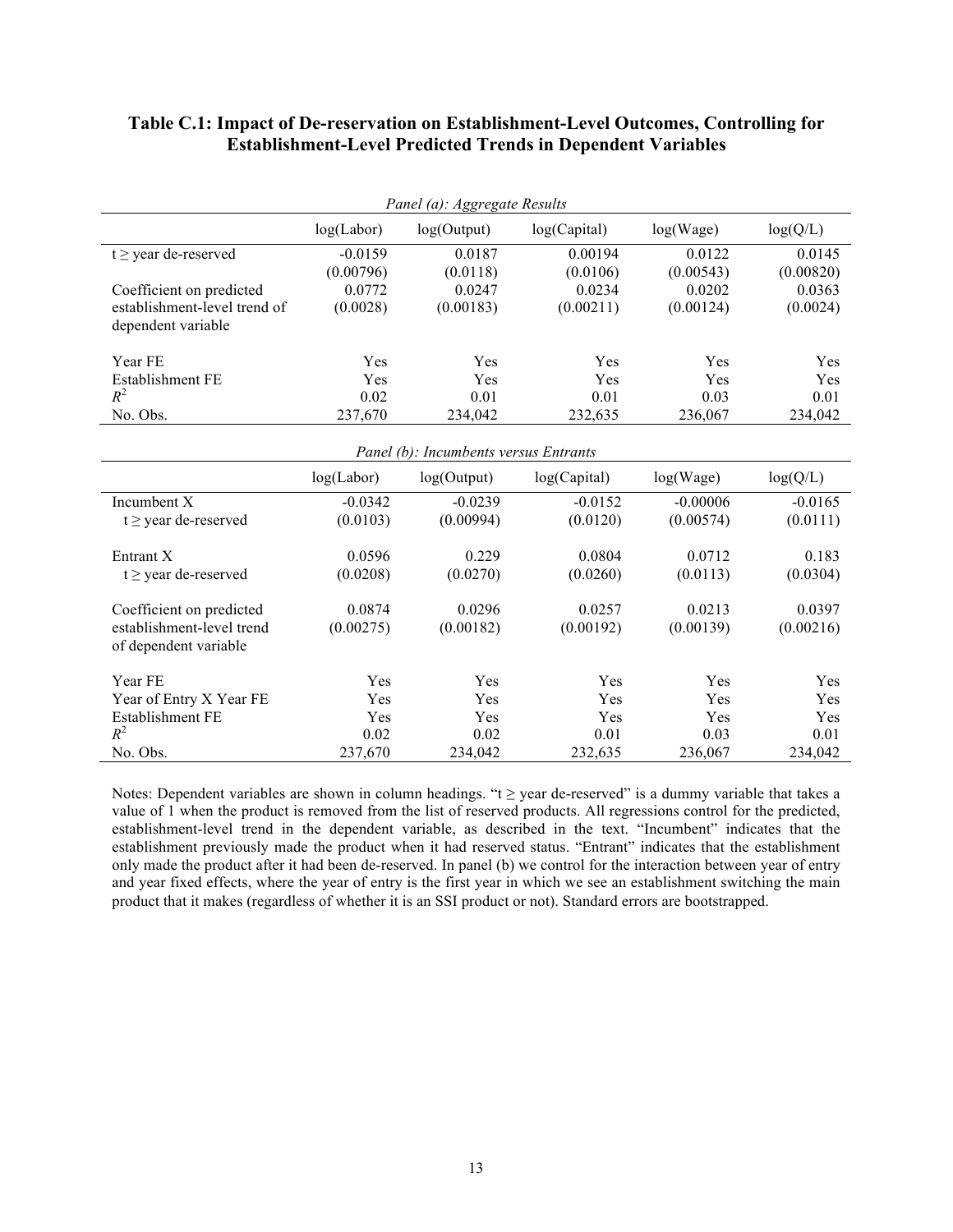## **Table C.1: Impact of De-reservation on Establishment-Level Outcomes, Controlling for Establishment-Level Predicted Trends in Dependent Variables**

| Panel (a): Aggregate Results          |            |             |              |            |           |  |  |  |
|---------------------------------------|------------|-------------|--------------|------------|-----------|--|--|--|
|                                       | log(Labor) | log(Output) | log(Capital) | log(Wage)  | log(Q/L)  |  |  |  |
| $t \geq$ year de-reserved             | $-0.0159$  | 0.0187      | 0.00194      | 0.0122     | 0.0145    |  |  |  |
|                                       | (0.00796)  | (0.0118)    | (0.0106)     | (0.00543)  | (0.00820) |  |  |  |
| Coefficient on predicted              | 0.0772     | 0.0247      | 0.0234       | 0.0202     | 0.0363    |  |  |  |
| establishment-level trend of          | (0.0028)   | (0.00183)   | (0.00211)    | (0.00124)  | (0.0024)  |  |  |  |
| dependent variable                    |            |             |              |            |           |  |  |  |
| Year FE                               | Yes        | Yes         | Yes          | Yes        | Yes       |  |  |  |
| Establishment FE                      | Yes        | Yes         | Yes          | Yes        | Yes       |  |  |  |
| $R^2$                                 | 0.02       | 0.01        | 0.01         | 0.03       | 0.01      |  |  |  |
| No. Obs.                              | 237,670    | 234,042     | 232,635      | 236,067    | 234,042   |  |  |  |
| Panel (b): Incumbents versus Entrants |            |             |              |            |           |  |  |  |
|                                       | log(Labor) | log(Output) | log(Capital) | log(Wage)  | log(Q/L)  |  |  |  |
| Incumbent X                           | $-0.0342$  | $-0.0239$   | $-0.0152$    | $-0.00006$ | $-0.0165$ |  |  |  |
| $t \geq$ year de-reserved             | (0.0103)   | (0.00994)   | (0.0120)     | (0.00574)  | (0.0111)  |  |  |  |
|                                       |            |             |              |            |           |  |  |  |
| Entrant X                             | 0.0596     | 0.229       | 0.0804       | 0.0712     | 0.183     |  |  |  |
| $t \geq$ year de-reserved             | (0.0208)   | (0.0270)    | (0.0260)     | (0.0113)   | (0.0304)  |  |  |  |
| Coefficient on predicted              | 0.0874     | 0.0296      | 0.0257       | 0.0213     | 0.0397    |  |  |  |
| establishment-level trend             | (0.00275)  | (0.00182)   | (0.00192)    | (0.00139)  | (0.00216) |  |  |  |
| of dependent variable                 |            |             |              |            |           |  |  |  |
| Year FE                               | Yes        | Yes         | Yes          | Yes        | Yes       |  |  |  |
| Year of Entry X Year FE               | Yes        | Yes         | Yes          | Yes        | Yes       |  |  |  |
| Establishment FE                      | Yes        | Yes         | Yes          | Yes        | Yes       |  |  |  |
| $R^2$                                 | 0.02       | 0.02        | 0.01         | 0.03       | 0.01      |  |  |  |
| No. Obs.                              | 237,670    | 234,042     | 232,635      | 236,067    | 234,042   |  |  |  |

Notes: Dependent variables are shown in column headings. "t ≥ year de-reserved" is a dummy variable that takes a value of 1 when the product is removed from the list of reserved products. All regressions control for the predicted, establishment-level trend in the dependent variable, as described in the text. "Incumbent" indicates that the establishment previously made the product when it had reserved status. "Entrant" indicates that the establishment only made the product after it had been de-reserved. In panel (b) we control for the interaction between year of entry and year fixed effects, where the year of entry is the first year in which we see an establishment switching the main product that it makes (regardless of whether it is an SSI product or not). Standard errors are bootstrapped.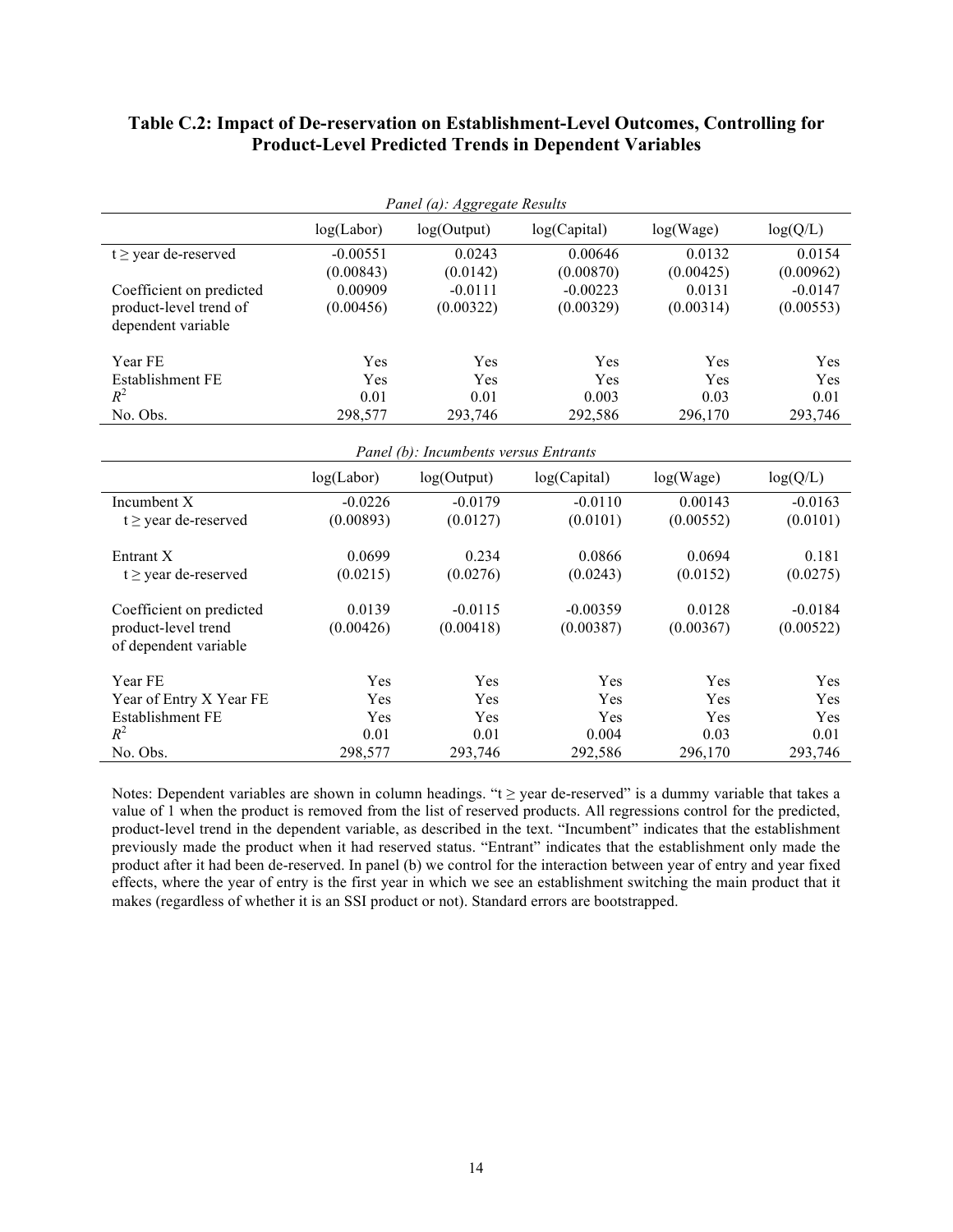## **Table C.2: Impact of De-reservation on Establishment-Level Outcomes, Controlling for Product-Level Predicted Trends in Dependent Variables**

| Panel (a): Aggregate Results          |            |             |              |           |           |  |  |  |
|---------------------------------------|------------|-------------|--------------|-----------|-----------|--|--|--|
|                                       | log(Labor) | log(Output) | log(Capital) | log(Wage) | log(Q/L)  |  |  |  |
| $t \geq$ year de-reserved             | $-0.00551$ | 0.0243      | 0.00646      | 0.0132    | 0.0154    |  |  |  |
|                                       | (0.00843)  | (0.0142)    | (0.00870)    | (0.00425) | (0.00962) |  |  |  |
| Coefficient on predicted              | 0.00909    | $-0.0111$   | $-0.00223$   | 0.0131    | $-0.0147$ |  |  |  |
| product-level trend of                | (0.00456)  | (0.00322)   | (0.00329)    | (0.00314) | (0.00553) |  |  |  |
| dependent variable                    |            |             |              |           |           |  |  |  |
| Year FE                               | Yes        | Yes         | Yes          | Yes       | Yes       |  |  |  |
| Establishment FE                      | Yes        | Yes         | Yes          | Yes       | Yes       |  |  |  |
| $R^2$                                 | 0.01       | 0.01        | 0.003        | 0.03      | 0.01      |  |  |  |
| No. Obs.                              | 298,577    | 293,746     | 292,586      | 296,170   | 293,746   |  |  |  |
| Panel (b): Incumbents versus Entrants |            |             |              |           |           |  |  |  |
|                                       | log(Labor) | log(Output) | log(Capital) | log(Wage) | log(Q/L)  |  |  |  |
| Incumbent X                           | $-0.0226$  | $-0.0179$   | $-0.0110$    | 0.00143   | $-0.0163$ |  |  |  |
| $t \geq$ year de-reserved             | (0.00893)  | (0.0127)    | (0.0101)     | (0.00552) | (0.0101)  |  |  |  |
|                                       |            |             |              |           |           |  |  |  |
| Entrant X                             | 0.0699     | 0.234       | 0.0866       | 0.0694    | 0.181     |  |  |  |
| $t \geq$ year de-reserved             | (0.0215)   | (0.0276)    | (0.0243)     | (0.0152)  | (0.0275)  |  |  |  |
| Coefficient on predicted              | 0.0139     | $-0.0115$   | $-0.00359$   | 0.0128    | $-0.0184$ |  |  |  |
| product-level trend                   | (0.00426)  | (0.00418)   | (0.00387)    | (0.00367) | (0.00522) |  |  |  |
| of dependent variable                 |            |             |              |           |           |  |  |  |
| Year FE                               | Yes        | Yes         | Yes          | Yes       | Yes       |  |  |  |
| Year of Entry X Year FE               | Yes        | Yes         | Yes          | Yes       | Yes       |  |  |  |
| Establishment FE                      | Yes        | Yes         | Yes          | Yes       | Yes       |  |  |  |
| $R^2$                                 | 0.01       | 0.01        | 0.004        | 0.03      | 0.01      |  |  |  |
| No. Obs.                              | 298,577    | 293,746     | 292,586      | 296,170   | 293,746   |  |  |  |

Notes: Dependent variables are shown in column headings. "t ≥ year de-reserved" is a dummy variable that takes a value of 1 when the product is removed from the list of reserved products. All regressions control for the predicted, product-level trend in the dependent variable, as described in the text. "Incumbent" indicates that the establishment previously made the product when it had reserved status. "Entrant" indicates that the establishment only made the product after it had been de-reserved. In panel (b) we control for the interaction between year of entry and year fixed effects, where the year of entry is the first year in which we see an establishment switching the main product that it makes (regardless of whether it is an SSI product or not). Standard errors are bootstrapped.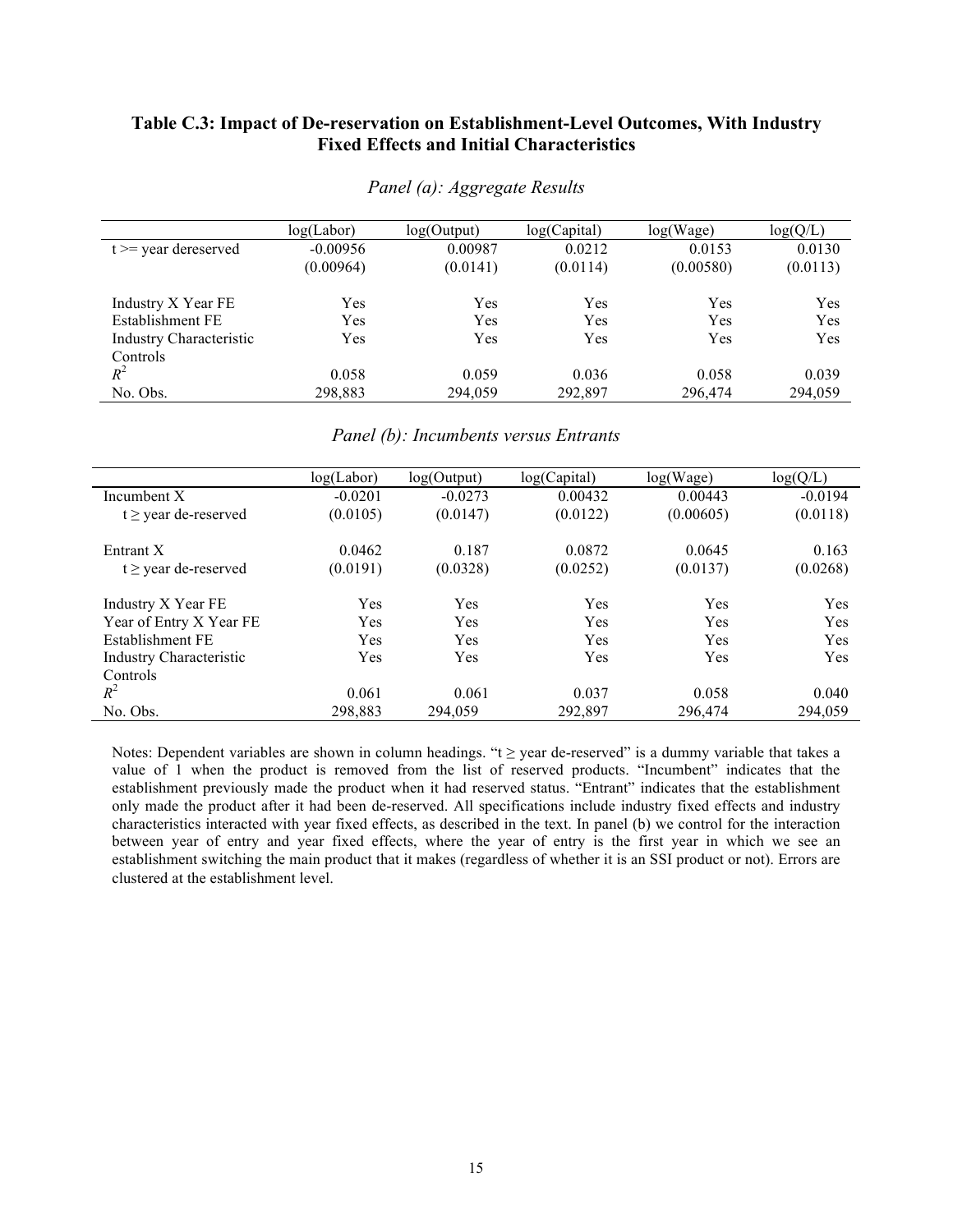### **Table C.3: Impact of De-reservation on Establishment-Level Outcomes, With Industry Fixed Effects and Initial Characteristics**

|                                | log(Labor) | log(Output) | log(Capital) | log(Wage) | log(Q/L) |
|--------------------------------|------------|-------------|--------------|-----------|----------|
| $t \geq v$ vear dereserved     | $-0.00956$ | 0.00987     | 0.0212       | 0.0153    | 0.0130   |
|                                | (0.00964)  | (0.0141)    | (0.0114)     | (0.00580) | (0.0113) |
| Industry X Year FE             | Yes        | Yes         | Yes          | Yes       | Yes      |
| Establishment FE               | Yes        | Yes         | Yes          | Yes       | Yes      |
| <b>Industry Characteristic</b> | Yes        | Yes         | Yes          | Yes       | Yes      |
| Controls                       |            |             |              |           |          |
| $R^2$                          | 0.058      | 0.059       | 0.036        | 0.058     | 0.039    |
| No. Obs.                       | 298,883    | 294,059     | 292,897      | 296,474   | 294,059  |

*Panel (a): Aggregate Results*

### *Panel (b): Incumbents versus Entrants*

|                                | log(Labor) | log(Output) | log(Capital) | log(Wage) | log(Q/L)  |
|--------------------------------|------------|-------------|--------------|-----------|-----------|
| Incumbent X                    | $-0.0201$  | $-0.0273$   | 0.00432      | 0.00443   | $-0.0194$ |
| $t \geq$ year de-reserved      | (0.0105)   | (0.0147)    | (0.0122)     | (0.00605) | (0.0118)  |
| Entrant X                      | 0.0462     | 0.187       | 0.0872       | 0.0645    | 0.163     |
| $t \geq$ year de-reserved      | (0.0191)   | (0.0328)    | (0.0252)     | (0.0137)  | (0.0268)  |
| Industry X Year FE             | Yes        | Yes         | Yes          | Yes       | Yes       |
| Year of Entry X Year FE        | Yes        | Yes         | Yes          | Yes       | Yes       |
| Establishment FE               | Yes        | Yes         | Yes          | Yes       | Yes       |
| <b>Industry Characteristic</b> | Yes        | Yes         | Yes          | Yes       | Yes       |
| Controls                       |            |             |              |           |           |
| $R^2$                          | 0.061      | 0.061       | 0.037        | 0.058     | 0.040     |
| No. Obs.                       | 298.883    | 294.059     | 292,897      | 296,474   | 294.059   |

Notes: Dependent variables are shown in column headings. "t ≥ year de-reserved" is a dummy variable that takes a value of 1 when the product is removed from the list of reserved products. "Incumbent" indicates that the establishment previously made the product when it had reserved status. "Entrant" indicates that the establishment only made the product after it had been de-reserved. All specifications include industry fixed effects and industry characteristics interacted with year fixed effects, as described in the text. In panel (b) we control for the interaction between year of entry and year fixed effects, where the year of entry is the first year in which we see an establishment switching the main product that it makes (regardless of whether it is an SSI product or not). Errors are clustered at the establishment level.